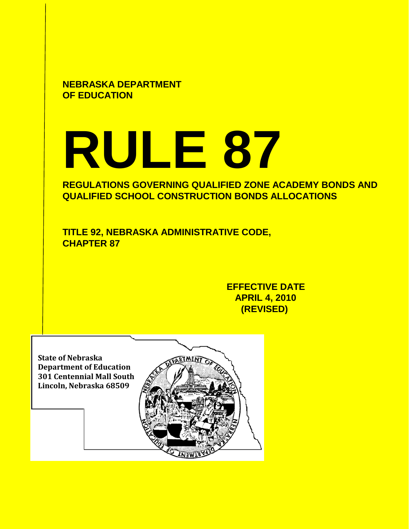**NEBRASKA DEPARTMENT OF EDUCATION**

# **RULE 87**

**REGULATIONS GOVERNING QUALIFIED ZONE ACADEMY BONDS AND QUALIFIED SCHOOL CONSTRUCTION BONDS ALLOCATIONS**

**TITLE 92, NEBRASKA ADMINISTRATIVE CODE, CHAPTER 87**

> **EFFECTIVE DATE APRIL 4, 2010 (REVISED)**

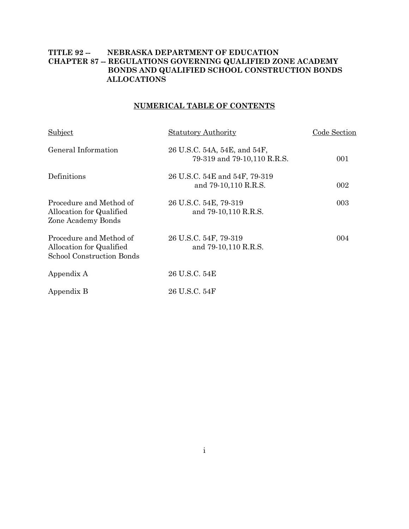# **TITLE 92 -- NEBRASKA DEPARTMENT OF EDUCATION CHAPTER 87 -- REGULATIONS GOVERNING QUALIFIED ZONE ACADEMY BONDS AND QUALIFIED SCHOOL CONSTRUCTION BONDS ALLOCATIONS**

# **NUMERICAL TABLE OF CONTENTS**

| Subject                                                                          | <b>Statutory Authority</b>                                  | Code Section |
|----------------------------------------------------------------------------------|-------------------------------------------------------------|--------------|
| General Information                                                              | 26 U.S.C. 54A, 54E, and 54F,<br>79-319 and 79-10,110 R.R.S. | 001          |
| Definitions                                                                      | 26 U.S.C. 54E and 54F, 79-319<br>and 79-10,110 R.R.S.       | 002          |
| Procedure and Method of<br>Allocation for Qualified<br>Zone Academy Bonds        | 26 U.S.C. 54E, 79-319<br>and 79-10,110 R.R.S.               | 003          |
| Procedure and Method of<br>Allocation for Qualified<br>School Construction Bonds | 26 U.S.C. 54F, 79-319<br>and 79-10,110 R.R.S.               | 004          |
| Appendix A                                                                       | 26 U.S.C. 54E                                               |              |
| Appendix B                                                                       | 26 U.S.C. 54F                                               |              |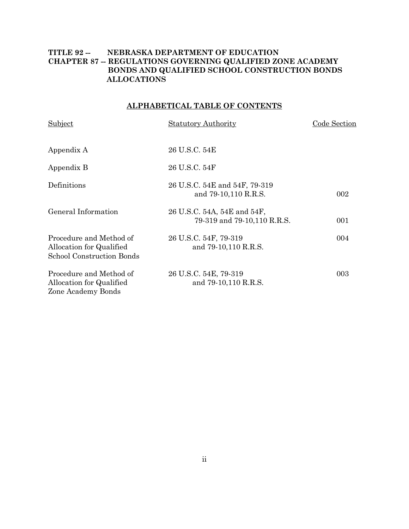# **TITLE 92 -- NEBRASKA DEPARTMENT OF EDUCATION CHAPTER 87 -- REGULATIONS GOVERNING QUALIFIED ZONE ACADEMY BONDS AND QUALIFIED SCHOOL CONSTRUCTION BONDS ALLOCATIONS**

# **ALPHABETICAL TABLE OF CONTENTS**

| Subject                                                                          | <b>Statutory Authority</b>                                 | Code Section |
|----------------------------------------------------------------------------------|------------------------------------------------------------|--------------|
| Appendix A                                                                       | 26 U.S.C. 54E                                              |              |
| Appendix B                                                                       | 26 U.S.C. 54F                                              |              |
| Definitions                                                                      | 26 U.S.C. 54E and 54F, 79-319<br>and 79-10,110 R.R.S.      | 002          |
| General Information                                                              | 26 U.S.C. 54A, 54E and 54F,<br>79-319 and 79-10,110 R.R.S. | 001          |
| Procedure and Method of<br>Allocation for Qualified<br>School Construction Bonds | 26 U.S.C. 54F, 79-319<br>and 79-10,110 R.R.S.              | 004          |
| Procedure and Method of<br>Allocation for Qualified<br>Zone Academy Bonds        | 26 U.S.C. 54E, 79-319<br>and 79-10,110 R.R.S.              | 003          |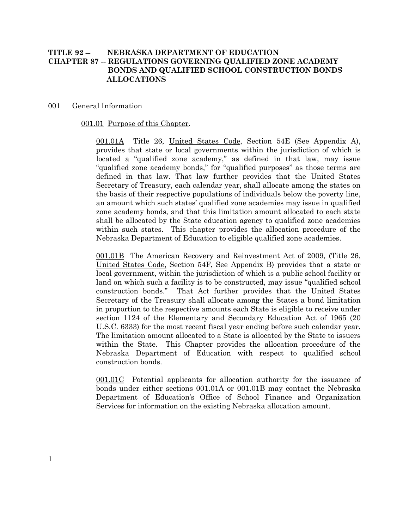# **TITLE 92 -- NEBRASKA DEPARTMENT OF EDUCATION CHAPTER 87 -- REGULATIONS GOVERNING QUALIFIED ZONE ACADEMY BONDS AND QUALIFIED SCHOOL CONSTRUCTION BONDS ALLOCATIONS**

### 001 General Information

### 001.01 Purpose of this Chapter.

001.01A Title 26, United States Code, Section 54E (See Appendix A), provides that state or local governments within the jurisdiction of which is located a "qualified zone academy," as defined in that law, may issue "qualified zone academy bonds," for "qualified purposes" as those terms are defined in that law. That law further provides that the United States Secretary of Treasury, each calendar year, shall allocate among the states on the basis of their respective populations of individuals below the poverty line, an amount which such states' qualified zone academies may issue in qualified zone academy bonds, and that this limitation amount allocated to each state shall be allocated by the State education agency to qualified zone academies within such states. This chapter provides the allocation procedure of the Nebraska Department of Education to eligible qualified zone academies.

001.01B The American Recovery and Reinvestment Act of 2009, (Title 26, United States Code, Section 54F, See Appendix B) provides that a state or local government, within the jurisdiction of which is a public school facility or land on which such a facility is to be constructed, may issue "qualified school construction bonds." That Act further provides that the United States Secretary of the Treasury shall allocate among the States a bond limitation in proportion to the respective amounts each State is eligible to receive under section 1124 of the Elementary and Secondary Education Act of 1965 (20 U.S.C. 6333) for the most recent fiscal year ending before such calendar year. The limitation amount allocated to a State is allocated by the State to issuers within the State. This Chapter provides the allocation procedure of the Nebraska Department of Education with respect to qualified school construction bonds.

001.01C Potential applicants for allocation authority for the issuance of bonds under either sections 001.01A or 001.01B may contact the Nebraska Department of Education's Office of School Finance and Organization Services for information on the existing Nebraska allocation amount.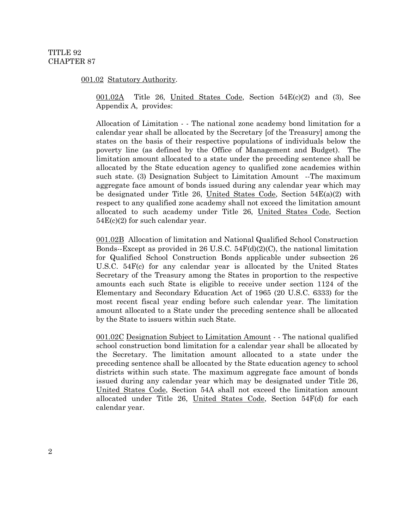### 001.02 Statutory Authority.

 $\underline{001.02A}$  Title 26, United States Code, Section 54E(c)(2) and (3), See Appendix A, provides:

Allocation of Limitation - - The national zone academy bond limitation for a calendar year shall be allocated by the Secretary [of the Treasury] among the states on the basis of their respective populations of individuals below the poverty line (as defined by the Office of Management and Budget). The limitation amount allocated to a state under the preceding sentence shall be allocated by the State education agency to qualified zone academies within such state. (3) Designation Subject to Limitation Amount --The maximum aggregate face amount of bonds issued during any calendar year which may be designated under Title 26, United States Code, Section 54E(a)(2) with respect to any qualified zone academy shall not exceed the limitation amount allocated to such academy under Title 26, United States Code, Section 54E(c)(2) for such calendar year.

001.02B Allocation of limitation and National Qualified School Construction Elementary and Secondary Education Act of 1965 ([20 U.S.C. 6333](https://web2.westlaw.com/find/default.wl?tf=-1&rs=WLW9.08&ifm=NotSet&fn=_top&sv=Split&tc=-1&docname=20USCAS6333&ordoc=20258762&findtype=L&mt=Nebraska&db=1000546&utid=1&vr=2.0&rp=%2ffind%2fdefault.wl&pbc=557C6C55)) for the Bonds--Except as provided in 26 U.S.C.  $54F(d)(2)(C)$ , the national limitation for Qualified School Construction Bonds applicable under subsection 26 U.S.C. 54F(c) for any calendar year is allocated by the United States Secretary of the Treasury among the States in proportion to the respective amounts each such State is eligible to receive under section 1124 of the most recent fiscal year ending before such calendar year. The limitation amount allocated to a State under the preceding sentence shall be allocated by the State to issuers within such State.

001.02C Designation Subject to Limitation Amount - - The national qualified school construction bond limitation for a calendar year shall be allocated by the Secretary. The limitation amount allocated to a state under the preceding sentence shall be allocated by the State education agency to school districts within such state. The maximum aggregate face amount of bonds issued during any calendar year which may be designated under Title 26, United States Code, Section 54A shall not exceed the limitation amount allocated under Title 26, United States Code, Section 54F(d) for each calendar year.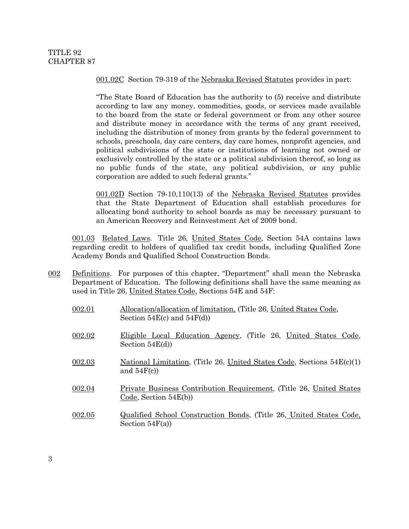001.02C Section 79-319 of the Nebraska Revised Statutes provides in part:

"The State Board of Education has the authority to (5) receive and distribute according to law any money, commodities, goods, or services made available to the board from the state or federal government or from any other source and distribute money in accordance with the terms of any grant received, including the distribution of money from grants by the federal government to schools, preschools, day care centers, day care homes, nonprofit agencies, and political subdivisions of the state or institutions of learning not owned or exclusively controlled by the state or a political subdivision thereof, so long as no public funds of the state, any political subdivision, or any public corporation are added to such federal grants."

001.02D Section 79-10,110(13) of the Nebraska Revised Statutes provides that the State Department of Education shall establish procedures for allocating bond authority to school boards as may be necessary pursuant to an American Recovery and Reinvestment Act of 2009 bond.

001.03 Related Laws. Title 26, United States Code, Section 54A contains laws regarding credit to holders of qualified tax credit bonds, including Qualified Zone Academy Bonds and Qualified School Construction Bonds.

002 Definitions. For purposes of this chapter, "Department" shall mean the Nebraska Department of Education. The following definitions shall have the same meaning as used in Title 26, United States Code, Sections 54E and 54F:

| 002.01 | Allocation/allocation of limitation, (Title 26, United States Code,<br>Section $54E(c)$ and $54F(d)$ |
|--------|------------------------------------------------------------------------------------------------------|
| 002.02 | Eligible Local Education Agency, (Title 26, United States Code,<br>Section $54E(d)$                  |
| 002.03 | National Limitation, (Title 26, United States Code, Sections $54E(c)(1)$ )<br>and $54F(c)$ )         |
| 002.04 | Private Business Contribution Requirement, (Title 26, United States)<br>Code, Section $54E(b)$       |

002.05 Qualified School Construction Bonds, (Title 26, United States Code, Section  $54F(a)$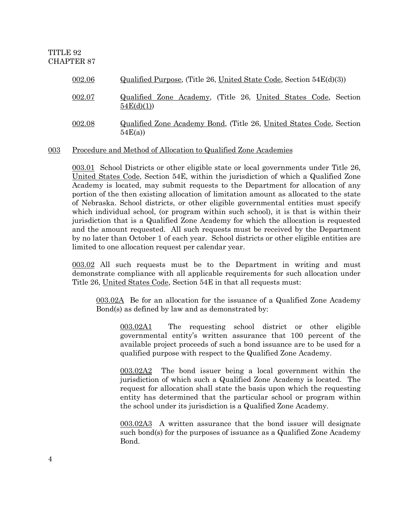| 002.06 | $Qualified Purpose, (Title 26, United State Code, Section 54E(d)(3))$         |
|--------|-------------------------------------------------------------------------------|
| 002.07 | Qualified Zone Academy, (Title 26, United States Code, Section<br>54E(d)(1)   |
| 002.08 | Qualified Zone Academy Bond, (Title 26, United States Code, Section<br>54E(a) |

## 003 Procedure and Method of Allocation to Qualified Zone Academies

003.01 School Districts or other eligible state or local governments under Title 26, United States Code, Section 54E, within the jurisdiction of which a Qualified Zone Academy is located, may submit requests to the Department for allocation of any portion of the then existing allocation of limitation amount as allocated to the state of Nebraska. School districts, or other eligible governmental entities must specify which individual school, (or program within such school), it is that is within their jurisdiction that is a Qualified Zone Academy for which the allocation is requested and the amount requested. All such requests must be received by the Department by no later than October 1 of each year. School districts or other eligible entities are limited to one allocation request per calendar year.

003.02 All such requests must be to the Department in writing and must demonstrate compliance with all applicable requirements for such allocation under Title 26, United States Code, Section 54E in that all requests must:

003.02A Be for an allocation for the issuance of a Qualified Zone Academy Bond(s) as defined by law and as demonstrated by:

003.02A1 The requesting school district or other eligible governmental entity's written assurance that 100 percent of the available project proceeds of such a bond issuance are to be used for a qualified purpose with respect to the Qualified Zone Academy.

003.02A2 The bond issuer being a local government within the jurisdiction of which such a Qualified Zone Academy is located. The request for allocation shall state the basis upon which the requesting entity has determined that the particular school or program within the school under its jurisdiction is a Qualified Zone Academy.

003.02A3 A written assurance that the bond issuer will designate such bond(s) for the purposes of issuance as a Qualified Zone Academy Bond.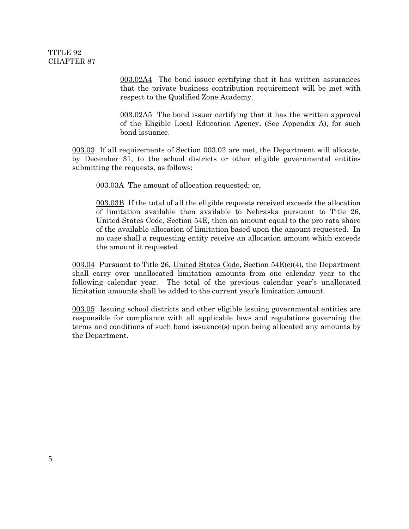003.02A4 The bond issuer certifying that it has written assurances that the private business contribution requirement will be met with respect to the Qualified Zone Academy.

003.02A5 The bond issuer certifying that it has the written approval of the Eligible Local Education Agency, (See Appendix A), for such bond issuance.

003.03 If all requirements of Section 003.02 are met, the Department will allocate, by December 31, to the school districts or other eligible governmental entities submitting the requests, as follows:

003.03A The amount of allocation requested; or,

003.03B If the total of all the eligible requests received exceeds the allocation of limitation available then available to Nebraska pursuant to Title 26, United States Code, Section 54E, then an amount equal to the pro rata share of the available allocation of limitation based upon the amount requested. In no case shall a requesting entity receive an allocation amount which exceeds the amount it requested.

003.04 Pursuant to Title 26, United States Code, Section  $54E(c)(4)$ , the Department shall carry over unallocated limitation amounts from one calendar year to the following calendar year. The total of the previous calendar year's unallocated limitation amounts shall be added to the current year's limitation amount.

003.05 Issuing school districts and other eligible issuing governmental entities are responsible for compliance with all applicable laws and regulations governing the terms and conditions of such bond issuance(s) upon being allocated any amounts by the Department.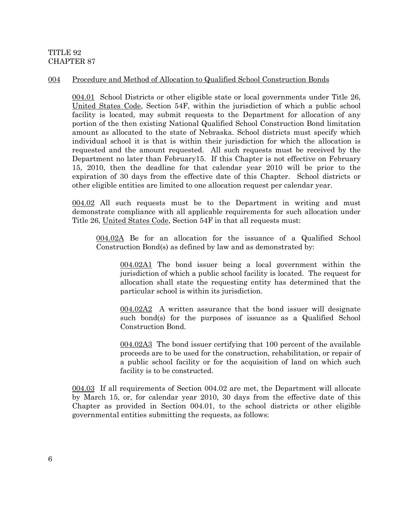### 004 Procedure and Method of Allocation to Qualified School Construction Bonds

004.01 School Districts or other eligible state or local governments under Title 26, United States Code, Section 54F, within the jurisdiction of which a public school facility is located, may submit requests to the Department for allocation of any portion of the then existing National Qualified School Construction Bond limitation amount as allocated to the state of Nebraska. School districts must specify which individual school it is that is within their jurisdiction for which the allocation is requested and the amount requested. All such requests must be received by the Department no later than February15. If this Chapter is not effective on February 15, 2010, then the deadline for that calendar year 2010 will be prior to the expiration of 30 days from the effective date of this Chapter. School districts or other eligible entities are limited to one allocation request per calendar year.

004.02 All such requests must be to the Department in writing and must demonstrate compliance with all applicable requirements for such allocation under Title 26, United States Code, Section 54F in that all requests must:

004.02A Be for an allocation for the issuance of a Qualified School Construction Bond(s) as defined by law and as demonstrated by:

004.02A1 The bond issuer being a local government within the jurisdiction of which a public school facility is located. The request for allocation shall state the requesting entity has determined that the particular school is within its jurisdiction.

004.02A2 A written assurance that the bond issuer will designate such bond(s) for the purposes of issuance as a Qualified School Construction Bond.

004.02A3 The bond issuer certifying that 100 percent of the available proceeds are to be used for the construction, rehabilitation, or repair of a public school facility or for the acquisition of land on which such facility is to be constructed.

004.03 If all requirements of Section 004.02 are met, the Department will allocate by March 15, or, for calendar year 2010, 30 days from the effective date of this Chapter as provided in Section 004.01, to the school districts or other eligible governmental entities submitting the requests, as follows: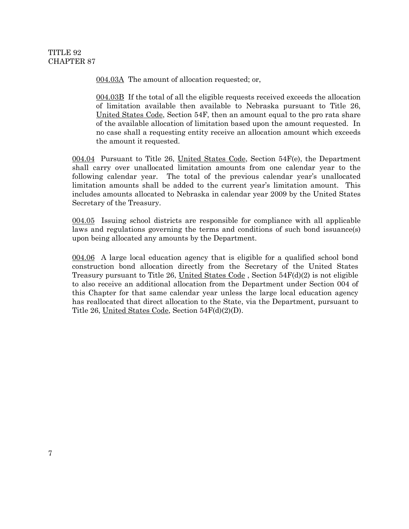004.03A The amount of allocation requested; or,

004.03B If the total of all the eligible requests received exceeds the allocation of limitation available then available to Nebraska pursuant to Title 26, United States Code, Section 54F, then an amount equal to the pro rata share of the available allocation of limitation based upon the amount requested. In no case shall a requesting entity receive an allocation amount which exceeds the amount it requested.

004.04 Pursuant to Title 26, United States Code, Section 54F(e), the Department shall carry over unallocated limitation amounts from one calendar year to the following calendar year. The total of the previous calendar year's unallocated limitation amounts shall be added to the current year's limitation amount. This includes amounts allocated to Nebraska in calendar year 2009 by the United States Secretary of the Treasury.

004.05 Issuing school districts are responsible for compliance with all applicable laws and regulations governing the terms and conditions of such bond issuance(s) upon being allocated any amounts by the Department.

004.06 A large local education agency that is eligible for a qualified school bond construction bond allocation directly from the Secretary of the United States Treasury pursuant to Title 26, United States Code, Section  $54F(d)(2)$  is not eligible to also receive an additional allocation from the Department under Section 004 of this Chapter for that same calendar year unless the large local education agency has reallocated that direct allocation to the State, via the Department, pursuant to Title 26, United States Code, Section 54F(d)(2)(D).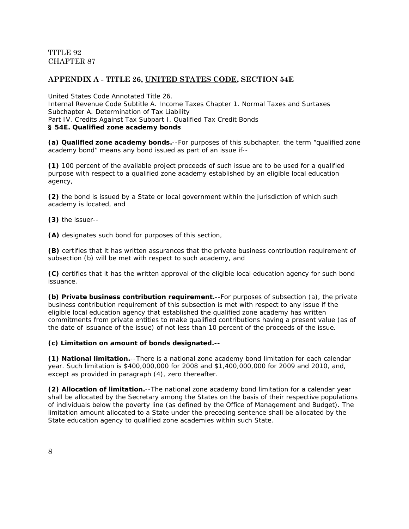# **APPENDIX A - TITLE 26, UNITED STATES CODE, SECTION 54E**

United States Code Annotated Title 26. Internal Revenue Code Subtitle A. Income Taxes Chapter 1. Normal Taxes and Surtaxes Subchapter A. Determination of Tax Liability [Part IV.](https://web2.westlaw.com/find/default.wl?jh=Part+IV.+Credits+Against+Tax+(Refs+%26+Annos)&db=USCA&sv=Split&mt=Nebraska&fn=_top&ordoc=20044315&vr=2.0&utid=1&jo=26%2bUSCA%2b%25c2%25a7%2b54E&findtype=l&pbc=8BB437D9&ifm=NotSet&docname=PRT(001871165)+%26+BEG-DATE(%3c%3d09%2f10%2f2009)+%26+END-DATE(%3e%3d09%2f10%2f2009)+%25+CI(REFS+(DISP+%2f2+TABLE)+(MISC+%2f2+TABLE))&rp=%2ffind%2fdefault.wl&jl=2&sr=SB&rs=WLW9.08) Credits Against Tax [Subpart I.](https://web2.westlaw.com/find/default.wl?jh=Subpart+I.+Qualified+Tax+Credit+Bonds&db=USCA&sv=Split&mt=Nebraska&fn=_top&ordoc=20044315&vr=2.0&utid=1&jo=26%2bUSCA%2b%25c2%25a7%2b54E&findtype=l&pbc=8BB437D9&ifm=NotSet&docname=PRT(019832354)+%26+BEG-DATE(%3c%3d09%2f10%2f2009)+%26+END-DATE(%3e%3d09%2f10%2f2009)+%25+CI(REFS+(DISP+%2f2+TABLE)+(MISC+%2f2+TABLE))&rp=%2ffind%2fdefault.wl&jl=1&sr=SB&rs=WLW9.08) Qualified Tax Credit Bonds **§ 54E. Qualified zone academy bonds**

**(a) Qualified zone academy bonds.**--For purposes of this subchapter, the term "qualified zone academy bond" means any bond issued as part of an issue if--

**(1)** 100 percent of the available project proceeds of such issue are to be used for a qualified purpose with respect to a qualified zone academy established by an eligible local education agency,

**(2)** the bond is issued by a State or local government within the jurisdiction of which such academy is located, and

**(3)** the issuer--

**(A)** designates such bond for purposes of this section,

**(B)** certifies that it has written assurances that the private business contribution requirement of subsection (b) will be met with respect to such academy, and

**(C)** certifies that it has the written approval of the eligible local education agency for such bond issuance.

**(b) Private business contribution requirement.**--For purposes of subsection (a), the private business contribution requirement of this subsection is met with respect to any issue if the eligible local education agency that established the qualified zone academy has written commitments from private entities to make qualified contributions having a present value (as of the date of issuance of the issue) of not less than 10 percent of the proceeds of the issue.

### **(c) Limitation on amount of bonds designated.--**

**(1) National limitation.**--There is a national zone academy bond limitation for each calendar year. Such limitation is \$400,000,000 for 2008 and \$1,400,000,000 for 2009 and 2010, and, except as provided in paragraph (4), zero thereafter.

**(2) Allocation of limitation.**--The national zone academy bond limitation for a calendar year shall be allocated by the Secretary among the States on the basis of their respective populations of individuals below the poverty line (as defined by the Office of Management and Budget). The limitation amount allocated to a State under the preceding sentence shall be allocated by the State education agency to qualified zone academies within such State.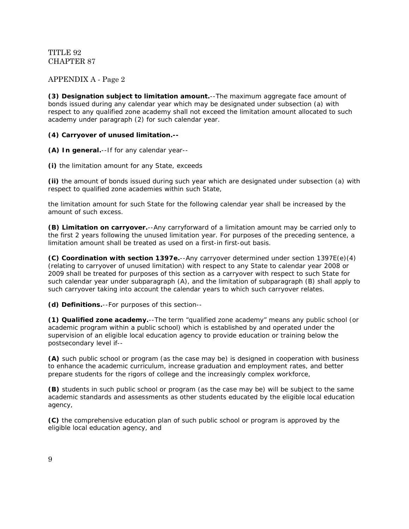# APPENDIX A - Page 2

**(3) Designation subject to limitation amount.**--The maximum aggregate face amount of bonds issued during any calendar year which may be designated under subsection (a) with respect to any qualified zone academy shall not exceed the limitation amount allocated to such academy under paragraph (2) for such calendar year.

### **(4) Carryover of unused limitation.--**

**(A) In general.**--If for any calendar year--

**(i)** the limitation amount for any State, exceeds

**(ii)** the amount of bonds issued during such year which are designated under subsection (a) with respect to qualified zone academies within such State,

the limitation amount for such State for the following calendar year shall be increased by the amount of such excess.

**(B) Limitation on carryover.**--Any carryforward of a limitation amount may be carried only to the first 2 years following the unused limitation year. For purposes of the preceding sentence, a limitation amount shall be treated as used on a first-in first-out basis.

**(C) Coordination with [section 1397e.](https://web2.westlaw.com/find/default.wl?tf=-1&rs=WLW9.08&ifm=NotSet&fn=_top&sv=Split&tc=-1&docname=26USCAS1397E&ordoc=20044315&findtype=L&mt=Nebraska&db=1000546&utid=1&vr=2.0&rp=%2ffind%2fdefault.wl&pbc=8BB437D9)**--Any carryover determined under [section 1397E\(e\)\(4\)](https://web2.westlaw.com/find/default.wl?db=1000546&tc=-1&referenceposition=SP%3b22700000861f0&tf=-1&sv=Split&referencepositiontype=T&mt=Nebraska&fn=_top&ordoc=20044315&vr=2.0&utid=1&findtype=L&pbc=8BB437D9&ifm=NotSet&docname=26USCAS1397E&rp=%2ffind%2fdefault.wl&rs=WLW9.08) (relating to carryover of unused limitation) with respect to any State to calendar year 2008 or 2009 shall be treated for purposes of this section as a carryover with respect to such State for such calendar year under subparagraph (A), and the limitation of subparagraph (B) shall apply to such carryover taking into account the calendar years to which such carryover relates.

**(d) Definitions.**--For purposes of this section--

**(1) Qualified zone academy.**--The term "qualified zone academy" means any public school (or academic program within a public school) which is established by and operated under the supervision of an eligible local education agency to provide education or training below the postsecondary level if--

**(A)** such public school or program (as the case may be) is designed in cooperation with business to enhance the academic curriculum, increase graduation and employment rates, and better prepare students for the rigors of college and the increasingly complex workforce,

**(B)** students in such public school or program (as the case may be) will be subject to the same academic standards and assessments as other students educated by the eligible local education agency,

**(C)** the comprehensive education plan of such public school or program is approved by the eligible local education agency, and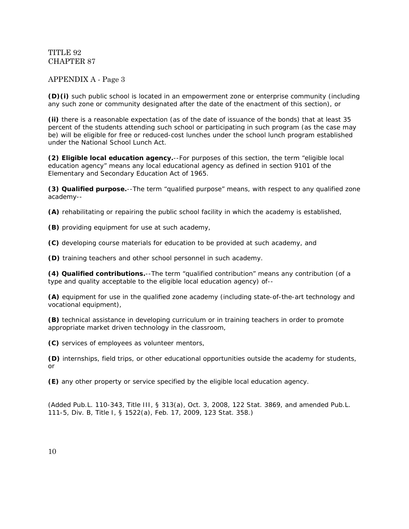## APPENDIX A - Page 3

**(D)(i)** such public school is located in an empowerment zone or enterprise community (including any such zone or community designated after the date of the enactment of this section), or

**(ii)** there is a reasonable expectation (as of the date of issuance of the bonds) that at least 35 percent of the students attending such school or participating in such program (as the case may be) will be eligible for free or reduced-cost lunches under the school lunch program established under the National School Lunch Act.

**(2) Eligible local education agency.**--For purposes of this section, the term "eligible local education agency" means any local educational agency as defined in section 9101 of the Elementary and Secondary Education Act of 1965.

**(3) Qualified purpose.**--The term "qualified purpose" means, with respect to any qualified zone academy--

**(A)** rehabilitating or repairing the public school facility in which the academy is established,

**(B)** providing equipment for use at such academy,

**(C)** developing course materials for education to be provided at such academy, and

**(D)** training teachers and other school personnel in such academy.

**(4) Qualified contributions.**--The term "qualified contribution" means any contribution (of a type and quality acceptable to the eligible local education agency) of--

**(A)** equipment for use in the qualified zone academy (including state-of-the-art technology and vocational equipment),

**(B)** technical assistance in developing curriculum or in training teachers in order to promote appropriate market driven technology in the classroom,

**(C)** services of employees as volunteer mentors,

**(D)** internships, field trips, or other educational opportunities outside the academy for students, or

**(E)** any other property or service specified by the eligible local education agency.

(Added [Pub.L. 110-343, Title III, § 313\(a\),](https://web2.westlaw.com/find/default.wl?tf=-1&rs=WLW9.08&ifm=NotSet&fn=_top&sv=Split&tc=-1&docname=UUID(IB89DAD7093-C311DD9493C-24B253780BC)&ordoc=20044315&findtype=l&mt=Nebraska&db=1077005&utid=1&vr=2.0&rp=%2ffind%2fdefault.wl&pbc=8BB437D9) Oct. 3, 2008, 122 Stat. 3869, and amended [Pub.L.](https://web2.westlaw.com/find/default.wl?tf=-1&rs=WLW9.08&ifm=NotSet&fn=_top&sv=Split&tc=-1&docname=UUID(I3A292700FE-C911DD9F1FD-B027D1AEBBC)&ordoc=20044315&findtype=l&mt=Nebraska&db=1077005&utid=1&vr=2.0&rp=%2ffind%2fdefault.wl&pbc=8BB437D9)  [111-5,](https://web2.westlaw.com/find/default.wl?tf=-1&rs=WLW9.08&ifm=NotSet&fn=_top&sv=Split&tc=-1&docname=UUID(I3A292700FE-C911DD9F1FD-B027D1AEBBC)&ordoc=20044315&findtype=l&mt=Nebraska&db=1077005&utid=1&vr=2.0&rp=%2ffind%2fdefault.wl&pbc=8BB437D9) Div. B, Title I, § 1522(a), Feb. 17, 2009, 123 Stat. 358.)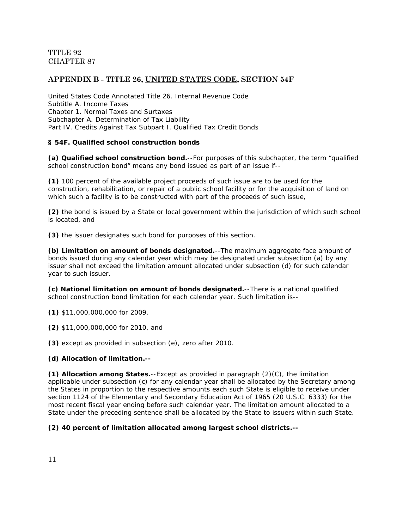# **APPENDIX B - TITLE 26, UNITED STATES CODE, SECTION 54F**

United States Code Annotated Title 26. Internal Revenue Code Subtitle A. Income Taxes Chapter 1. Normal Taxes and Surtaxes Subchapter A. Determination of Tax Liability [Part IV.](https://web2.westlaw.com/find/default.wl?jh=Part+IV.+Credits+Against+Tax+(Refs+%26+Annos)&db=USCA&sv=Split&mt=Nebraska&fn=_top&ordoc=20258762&vr=2.0&utid=1&jo=26%2bUSCA%2b%25c2%25a7%2b54F&findtype=l&pbc=8BB437D9&ifm=NotSet&docname=PRT(001871165)+%26+BEG-DATE(%3c%3d09%2f10%2f2009)+%26+END-DATE(%3e%3d09%2f10%2f2009)+%25+CI(REFS+(DISP+%2f2+TABLE)+(MISC+%2f2+TABLE))&rp=%2ffind%2fdefault.wl&jl=2&sr=SB&rs=WLW9.08) Credits Against Tax [Subpart I.](https://web2.westlaw.com/find/default.wl?jh=Subpart+I.+Qualified+Tax+Credit+Bonds&db=USCA&sv=Split&mt=Nebraska&fn=_top&ordoc=20258762&vr=2.0&utid=1&jo=26%2bUSCA%2b%25c2%25a7%2b54F&findtype=l&pbc=8BB437D9&ifm=NotSet&docname=PRT(019832354)+%26+BEG-DATE(%3c%3d09%2f10%2f2009)+%26+END-DATE(%3e%3d09%2f10%2f2009)+%25+CI(REFS+(DISP+%2f2+TABLE)+(MISC+%2f2+TABLE))&rp=%2ffind%2fdefault.wl&jl=1&sr=SB&rs=WLW9.08) Qualified Tax Credit Bonds

### **§ 54F. Qualified school construction bonds**

**(a) Qualified school construction bond.**--For purposes of this subchapter, the term "qualified school construction bond" means any bond issued as part of an issue if--

**(1)** 100 percent of the available project proceeds of such issue are to be used for the construction, rehabilitation, or repair of a public school facility or for the acquisition of land on which such a facility is to be constructed with part of the proceeds of such issue,

**(2)** the bond is issued by a State or local government within the jurisdiction of which such school is located, and

**(3)** the issuer designates such bond for purposes of this section.

**(b) Limitation on amount of bonds designated.**--The maximum aggregate face amount of bonds issued during any calendar year which may be designated under subsection (a) by any issuer shall not exceed the limitation amount allocated under subsection (d) for such calendar year to such issuer.

**(c) National limitation on amount of bonds designated.**--There is a national qualified school construction bond limitation for each calendar year. Such limitation is--

**(1)** \$11,000,000,000 for 2009,

**(2)** \$11,000,000,000 for 2010, and

**(3)** except as provided in subsection (e), zero after 2010.

### **(d) Allocation of limitation.--**

**(1) Allocation among States.**--Except as provided in paragraph (2)(C), the limitation applicable under subsection (c) for any calendar year shall be allocated by the Secretary among the States in proportion to the respective amounts each such State is eligible to receive under section 1124 of the Elementary and Secondary Education Act of 1965 [\(20 U.S.C. 6333\)](https://web2.westlaw.com/find/default.wl?tf=-1&rs=WLW9.08&ifm=NotSet&fn=_top&sv=Split&tc=-1&docname=20USCAS6333&ordoc=20258762&findtype=L&mt=Nebraska&db=1000546&utid=1&vr=2.0&rp=%2ffind%2fdefault.wl&pbc=8BB437D9) for the most recent fiscal year ending before such calendar year. The limitation amount allocated to a State under the preceding sentence shall be allocated by the State to issuers within such State.

### **(2) 40 percent of limitation allocated among largest school districts.--**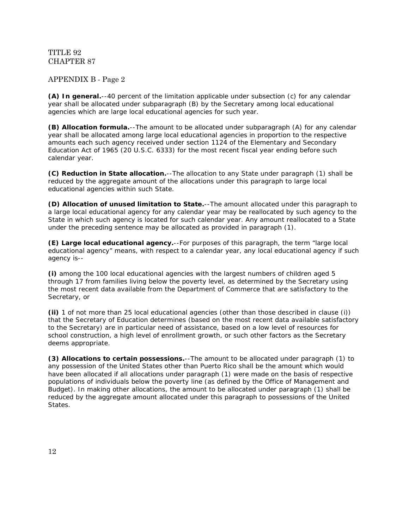# APPENDIX B - Page 2

**(A) In general.**--40 percent of the limitation applicable under subsection (c) for any calendar year shall be allocated under subparagraph (B) by the Secretary among local educational agencies which are large local educational agencies for such year.

**(B) Allocation formula.**--The amount to be allocated under subparagraph (A) for any calendar year shall be allocated among large local educational agencies in proportion to the respective amounts each such agency received under section 1124 of the Elementary and Secondary Education Act of 1965 [\(20 U.S.C. 6333\)](https://web2.westlaw.com/find/default.wl?tf=-1&rs=WLW9.08&ifm=NotSet&fn=_top&sv=Split&tc=-1&docname=20USCAS6333&ordoc=20258762&findtype=L&mt=Nebraska&db=1000546&utid=1&vr=2.0&rp=%2ffind%2fdefault.wl&pbc=8BB437D9) for the most recent fiscal year ending before such calendar year.

**(C) Reduction in State allocation.**--The allocation to any State under paragraph (1) shall be reduced by the aggregate amount of the allocations under this paragraph to large local educational agencies within such State.

**(D) Allocation of unused limitation to State.**--The amount allocated under this paragraph to a large local educational agency for any calendar year may be reallocated by such agency to the State in which such agency is located for such calendar year. Any amount reallocated to a State under the preceding sentence may be allocated as provided in paragraph (1).

**(E) Large local educational agency.**--For purposes of this paragraph, the term "large local educational agency" means, with respect to a calendar year, any local educational agency if such agency is--

**(i)** among the 100 local educational agencies with the largest numbers of children aged 5 through 17 from families living below the poverty level, as determined by the Secretary using the most recent data available from the Department of Commerce that are satisfactory to the Secretary, or

**(ii)** 1 of not more than 25 local educational agencies (other than those described in clause (i)) that the Secretary of Education determines (based on the most recent data available satisfactory to the Secretary) are in particular need of assistance, based on a low level of resources for school construction, a high level of enrollment growth, or such other factors as the Secretary deems appropriate.

**(3) Allocations to certain possessions.**--The amount to be allocated under paragraph (1) to any possession of the United States other than Puerto Rico shall be the amount which would have been allocated if all allocations under paragraph (1) were made on the basis of respective populations of individuals below the poverty line (as defined by the Office of Management and Budget). In making other allocations, the amount to be allocated under paragraph (1) shall be reduced by the aggregate amount allocated under this paragraph to possessions of the United States.